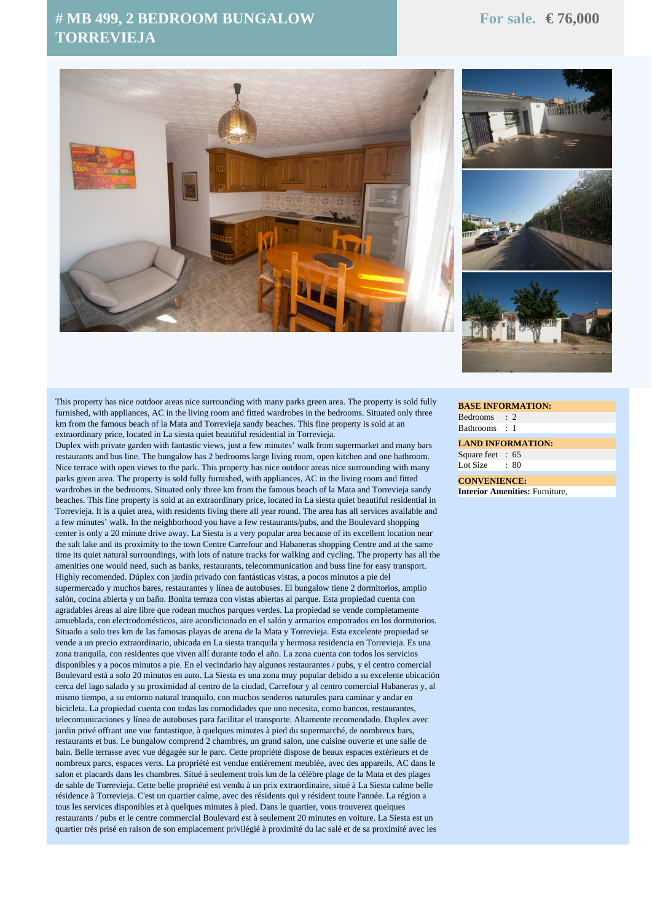## **# MB 499, 2 BEDROOM BUNGALOW TORREVIEJA**





This property has nice outdoor areas nice surrounding with many parks green area. The property is sold fully furnished, with appliances, AC in the living room and fitted wardrobes in the bedrooms. Situated only three km from the famous beach of la Mata and Torrevieja sandy beaches. This fine property is sold at an extraordinary price, located in La siesta quiet beautiful residential in Torrevieja.

Duplex with private garden with fantastic views, just a few minutes' walk from supermarket and many bars restaurants and bus line. The bungalow has 2 bedrooms large living room, open kitchen and one bathroom. Nice terrace with open views to the park. This property has nice outdoor areas nice surrounding with many parks green area. The property is sold fully furnished, with appliances, AC in the living room and fitted wardrobes in the bedrooms. Situated only three km from the famous beach of la Mata and Torrevieja sandy beaches. This fine property is sold at an extraordinary price, located in La siesta quiet beautiful residential in Torrevieja. It is a quiet area, with residents living there all year round. The area has all services available and a few minutes' walk. In the neighborhood you have a few restaurants/pubs, and the Boulevard shopping center is only a 20 minute drive away. La Siesta is a very popular area because of its excellent location near the salt lake and its proximity to the town Centre Carrefour and Habaneras shopping Centre and at the same time its quiet natural surroundings, with lots of nature tracks for walking and cycling. The property has all the amenities one would need, such as banks, restaurants, telecommunication and buss line for easy transport. Highly recomended. Dúplex con jardín privado con fantásticas vistas, a pocos minutos a pie del supermercado y muchos bares, restaurantes y línea de autobuses. El bungalow tiene 2 dormitorios, amplio salón, cocina abierta y un baño. Bonita terraza con vistas abiertas al parque. Esta propiedad cuenta con agradables áreas al aire libre que rodean muchos parques verdes. La propiedad se vende completamente amueblada, con electrodomésticos, aire acondicionado en el salón y armarios empotrados en los dormitorios. Situado a solo tres km de las famosas playas de arena de la Mata y Torrevieja. Esta excelente propiedad se vende a un precio extraordinario, ubicada en La siesta tranquila y hermosa residencia en Torrevieja. Es una zona tranquila, con residentes que viven allí durante todo el año. La zona cuenta con todos los servicios disponibles y a pocos minutos a pie. En el vecindario hay algunos restaurantes / pubs, y el centro comercial Boulevard está a solo 20 minutos en auto. La Siesta es una zona muy popular debido a su excelente ubicación cerca del lago salado y su proximidad al centro de la ciudad, Carrefour y al centro comercial Habaneras y, al mismo tiempo, a su entorno natural tranquilo, con muchos senderos naturales para caminar y andar en bicicleta. La propiedad cuenta con todas las comodidades que uno necesita, como bancos, restaurantes, telecomunicaciones y línea de autobuses para facilitar el transporte. Altamente recomendado. Duplex avec jardin privé offrant une vue fantastique, à quelques minutes à pied du supermarché, de nombreux bars, restaurants et bus. Le bungalow comprend 2 chambres, un grand salon, une cuisine ouverte et une salle de bain. Belle terrasse avec vue dégagée sur le parc. Cette propriété dispose de beaux espaces extérieurs et de nombreux parcs, espaces verts. La propriété est vendue entièrement meublée, avec des appareils, AC dans le salon et placards dans les chambres. Situé à seulement trois km de la célèbre plage de la Mata et des plages de sable de Torrevieja. Cette belle propriété est vendu à un prix extraordinaire, situé à La Siesta calme belle résidence à Torrevieja. C'est un quartier calme, avec des résidents qui y résident toute l'année. La région a tous les services disponibles et à quelques minutes à pied. Dans le quartier, vous trouverez quelques restaurants / pubs et le centre commercial Boulevard est à seulement 20 minutes en voiture. La Siesta est un quartier très prisé en raison de son emplacement privilégié à proximité du lac salé et de sa proximité avec les

**BASE INFORMATION:** Bedrooms : 2 Bathrooms : 1

**LAND INFORMATION:** Square feet : 65 Lot Size  $\cdot$  80

**CONVENIENCE: Interior Amenities:** Furniture,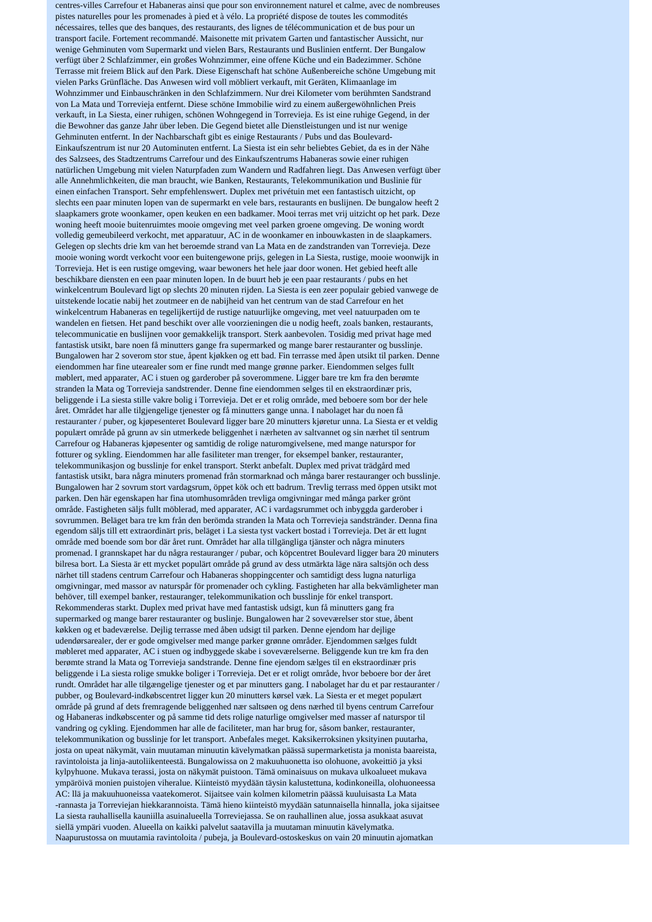centres-villes Carrefour et Habaneras ainsi que pour son environnement naturel et calme, avec de nombreuses pistes naturelles pour les promenades à pied et à vélo. La propriété dispose de toutes les commodités nécessaires, telles que des banques, des restaurants, des lignes de télécommunication et de bus pour un transport facile. Fortement recommandé. Maisonette mit privatem Garten und fantastischer Aussicht, nur wenige Gehminuten vom Supermarkt und vielen Bars, Restaurants und Buslinien entfernt. Der Bungalow verfügt über 2 Schlafzimmer, ein großes Wohnzimmer, eine offene Küche und ein Badezimmer. Schöne Terrasse mit freiem Blick auf den Park. Diese Eigenschaft hat schöne Außenbereiche schöne Umgebung mit vielen Parks Grünfläche. Das Anwesen wird voll möbliert verkauft, mit Geräten, Klimaanlage im Wohnzimmer und Einbauschränken in den Schlafzimmern. Nur drei Kilometer vom berühmten Sandstrand von La Mata und Torrevieja entfernt. Diese schöne Immobilie wird zu einem außergewöhnlichen Preis verkauft, in La Siesta, einer ruhigen, schönen Wohngegend in Torrevieja. Es ist eine ruhige Gegend, in der die Bewohner das ganze Jahr über leben. Die Gegend bietet alle Dienstleistungen und ist nur wenige Gehminuten entfernt. In der Nachbarschaft gibt es einige Restaurants / Pubs und das Boulevard-Einkaufszentrum ist nur 20 Autominuten entfernt. La Siesta ist ein sehr beliebtes Gebiet, da es in der Nähe des Salzsees, des Stadtzentrums Carrefour und des Einkaufszentrums Habaneras sowie einer ruhigen natürlichen Umgebung mit vielen Naturpfaden zum Wandern und Radfahren liegt. Das Anwesen verfügt über alle Annehmlichkeiten, die man braucht, wie Banken, Restaurants, Telekommunikation und Buslinie für einen einfachen Transport. Sehr empfehlenswert. Duplex met privétuin met een fantastisch uitzicht, op slechts een paar minuten lopen van de supermarkt en vele bars, restaurants en buslijnen. De bungalow heeft 2 slaapkamers grote woonkamer, open keuken en een badkamer. Mooi terras met vrij uitzicht op het park. Deze woning heeft mooie buitenruimtes mooie omgeving met veel parken groene omgeving. De woning wordt volledig gemeubileerd verkocht, met apparatuur, AC in de woonkamer en inbouwkasten in de slaapkamers. Gelegen op slechts drie km van het beroemde strand van La Mata en de zandstranden van Torrevieja. Deze mooie woning wordt verkocht voor een buitengewone prijs, gelegen in La Siesta, rustige, mooie woonwijk in Torrevieja. Het is een rustige omgeving, waar bewoners het hele jaar door wonen. Het gebied heeft alle beschikbare diensten en een paar minuten lopen. In de buurt heb je een paar restaurants / pubs en het winkelcentrum Boulevard ligt op slechts 20 minuten rijden. La Siesta is een zeer populair gebied vanwege de uitstekende locatie nabij het zoutmeer en de nabijheid van het centrum van de stad Carrefour en het winkelcentrum Habaneras en tegelijkertijd de rustige natuurlijke omgeving, met veel natuurpaden om te wandelen en fietsen. Het pand beschikt over alle voorzieningen die u nodig heeft, zoals banken, restaurants, telecommunicatie en buslijnen voor gemakkelijk transport. Sterk aanbevolen. Tosidig med privat hage med fantastisk utsikt, bare noen få minutters gange fra supermarked og mange barer restauranter og busslinje. Bungalowen har 2 soverom stor stue, åpent kjøkken og ett bad. Fin terrasse med åpen utsikt til parken. Denne eiendommen har fine utearealer som er fine rundt med mange grønne parker. Eiendommen selges fullt møblert, med apparater, AC i stuen og garderober på soverommene. Ligger bare tre km fra den berømte stranden la Mata og Torrevieja sandstrender. Denne fine eiendommen selges til en ekstraordinær pris, beliggende i La siesta stille vakre bolig i Torrevieja. Det er et rolig område, med beboere som bor der hele året. Området har alle tilgjengelige tjenester og få minutters gange unna. I nabolaget har du noen få restauranter / puber, og kjøpesenteret Boulevard ligger bare 20 minutters kjøretur unna. La Siesta er et veldig populært område på grunn av sin utmerkede beliggenhet i nærheten av saltvannet og sin nærhet til sentrum Carrefour og Habaneras kjøpesenter og samtidig de rolige naturomgivelsene, med mange naturspor for fotturer og sykling. Eiendommen har alle fasiliteter man trenger, for eksempel banker, restauranter, telekommunikasjon og busslinje for enkel transport. Sterkt anbefalt. Duplex med privat trädgård med fantastisk utsikt, bara några minuters promenad från stormarknad och många barer restauranger och busslinje. Bungalowen har 2 sovrum stort vardagsrum, öppet kök och ett badrum. Trevlig terrass med öppen utsikt mot parken. Den här egenskapen har fina utomhusområden trevliga omgivningar med många parker grönt område. Fastigheten säljs fullt möblerad, med apparater, AC i vardagsrummet och inbyggda garderober i sovrummen. Beläget bara tre km från den berömda stranden la Mata och Torrevieja sandstränder. Denna fina egendom säljs till ett extraordinärt pris, beläget i La siesta tyst vackert bostad i Torrevieja. Det är ett lugnt område med boende som bor där året runt. Området har alla tillgängliga tjänster och några minuters promenad. I grannskapet har du några restauranger / pubar, och köpcentret Boulevard ligger bara 20 minuters bilresa bort. La Siesta är ett mycket populärt område på grund av dess utmärkta läge nära saltsjön och dess närhet till stadens centrum Carrefour och Habaneras shoppingcenter och samtidigt dess lugna naturliga omgivningar, med massor av naturspår för promenader och cykling. Fastigheten har alla bekvämligheter man behöver, till exempel banker, restauranger, telekommunikation och busslinje för enkel transport. Rekommenderas starkt. Duplex med privat have med fantastisk udsigt, kun få minutters gang fra supermarked og mange barer restauranter og buslinje. Bungalowen har 2 soveværelser stor stue, åbent køkken og et badeværelse. Dejlig terrasse med åben udsigt til parken. Denne ejendom har dejlige udendørsarealer, der er gode omgivelser med mange parker grønne områder. Ejendommen sælges fuldt møbleret med apparater, AC i stuen og indbyggede skabe i soveværelserne. Beliggende kun tre km fra den berømte strand la Mata og Torrevieja sandstrande. Denne fine ejendom sælges til en ekstraordinær pris beliggende i La siesta rolige smukke boliger i Torrevieja. Det er et roligt område, hvor beboere bor der året rundt. Området har alle tilgængelige tjenester og et par minutters gang. I nabolaget har du et par restauranter / pubber, og Boulevard-indkøbscentret ligger kun 20 minutters kørsel væk. La Siesta er et meget populært område på grund af dets fremragende beliggenhed nær saltsøen og dens nærhed til byens centrum Carrefour og Habaneras indkøbscenter og på samme tid dets rolige naturlige omgivelser med masser af naturspor til vandring og cykling. Ejendommen har alle de faciliteter, man har brug for, såsom banker, restauranter, telekommunikation og busslinje for let transport. Anbefales meget. Kaksikerroksinen yksityinen puutarha, josta on upeat näkymät, vain muutaman minuutin kävelymatkan päässä supermarketista ja monista baareista, ravintoloista ja linja-autoliikenteestä. Bungalowissa on 2 makuuhuonetta iso olohuone, avokeittiö ja yksi kylpyhuone. Mukava terassi, josta on näkymät puistoon. Tämä ominaisuus on mukava ulkoalueet mukava ympäröivä monien puistojen viheralue. Kiinteistö myydään täysin kalustettuna, kodinkoneilla, olohuoneessa AC: llä ja makuuhuoneissa vaatekomerot. Sijaitsee vain kolmen kilometrin päässä kuuluisasta La Mata -rannasta ja Torreviejan hiekkarannoista. Tämä hieno kiinteistö myydään satunnaisella hinnalla, joka sijaitsee La siesta rauhallisella kauniilla asuinalueella Torreviejassa. Se on rauhallinen alue, jossa asukkaat asuvat siellä ympäri vuoden. Alueella on kaikki palvelut saatavilla ja muutaman minuutin kävelymatka. Naapurustossa on muutamia ravintoloita / pubeja, ja Boulevard-ostoskeskus on vain 20 minuutin ajomatkan